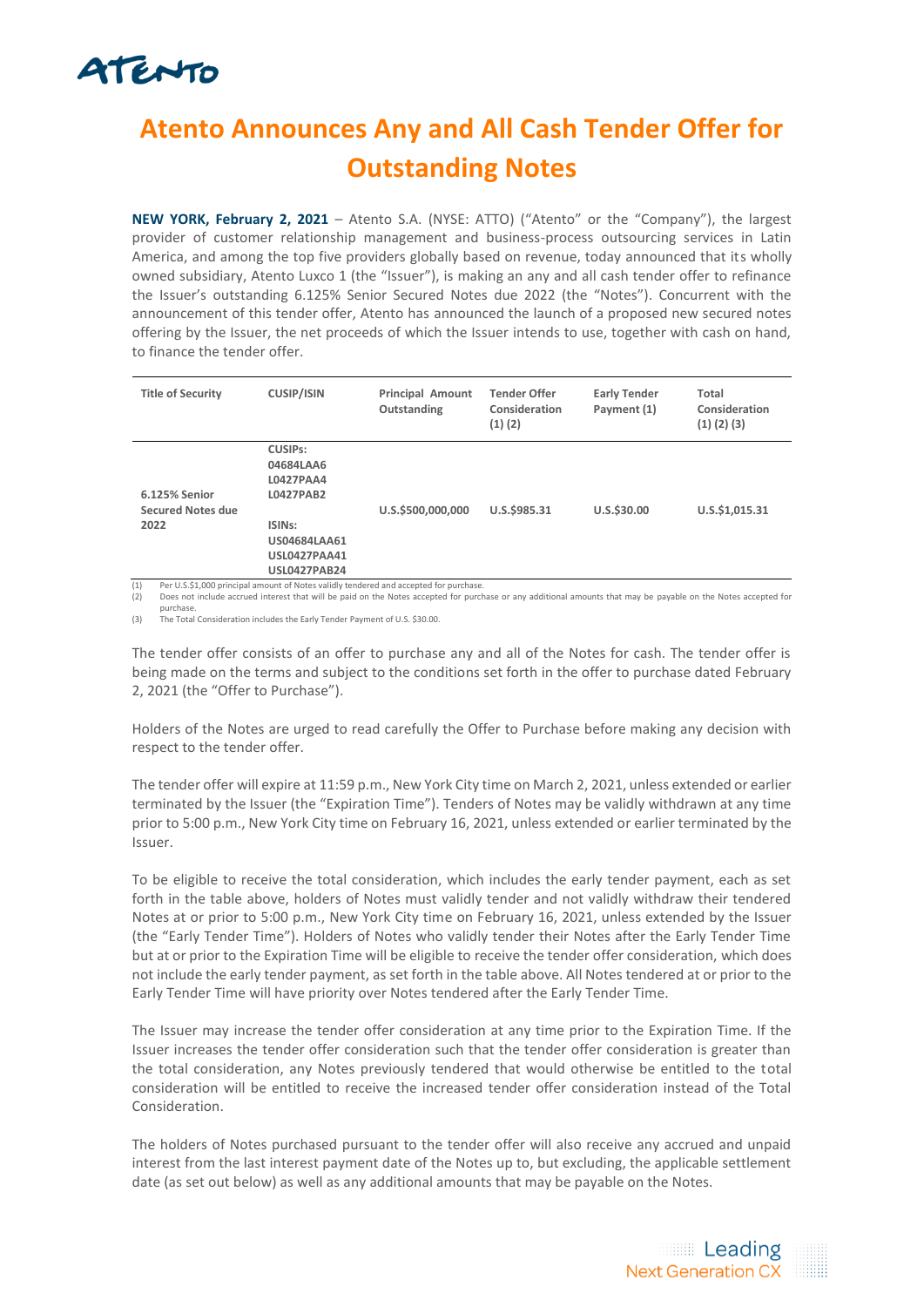# ATENTO

### **Atento Announces Any and All Cash Tender Offer for Outstanding Notes**

**NEW YORK, February 2, 2021** – Atento S.A. (NYSE: ATTO) ("Atento" or the "Company"), the largest provider of customer relationship management and business-process outsourcing services in Latin America, and among the top five providers globally based on revenue, today announced that its wholly owned subsidiary, Atento Luxco 1 (the "Issuer"), is making an any and all cash tender offer to refinance the Issuer's outstanding 6.125% Senior Secured Notes due 2022 (the "Notes"). Concurrent with the announcement of this tender offer, Atento has announced the launch of a proposed new secured notes offering by the Issuer, the net proceeds of which the Issuer intends to use, together with cash on hand, to finance the tender offer.

| <b>Title of Security</b>                                                             | <b>CUSIP/ISIN</b>                                                                                                                          | <b>Principal Amount</b><br>Outstanding | <b>Tender Offer</b><br>Consideration<br>(1)(2) | <b>Early Tender</b><br>Payment (1) | Total<br>Consideration<br>$(1)$ $(2)$ $(3)$ |
|--------------------------------------------------------------------------------------|--------------------------------------------------------------------------------------------------------------------------------------------|----------------------------------------|------------------------------------------------|------------------------------------|---------------------------------------------|
| 6.125% Senior<br><b>Secured Notes due</b><br>2022<br>$\mathcal{L}$ and $\mathcal{L}$ | <b>CUSIPs:</b><br>04684LAA6<br>L0427PAA4<br>L0427PAB2<br>ISIN <sub>S</sub> :<br>US04684LAA61<br><b>USL0427PAA41</b><br><b>USL0427PAB24</b> | U.S.\$500,000,000                      | U.S.\$985.31                                   | U.S.\$30.00                        | U.S.\$1,015.31                              |

(1) Per U.S.\$1,000 principal amount of Notes validly tendered and accepted for purchase. (2) Does not include accrued interest that will be paid on the Notes accepted for purchase or any additional amounts that may be payable on the Notes accepted for

purchase. (3) The Total Consideration includes the Early Tender Payment of U.S. \$30.00.

The tender offer consists of an offer to purchase any and all of the Notes for cash. The tender offer is being made on the terms and subject to the conditions set forth in the offer to purchase dated February 2, 2021 (the "Offer to Purchase").

Holders of the Notes are urged to read carefully the Offer to Purchase before making any decision with respect to the tender offer.

The tender offer will expire at 11:59 p.m., New York City time on March 2, 2021, unless extended or earlier terminated by the Issuer (the "Expiration Time"). Tenders of Notes may be validly withdrawn at any time prior to 5:00 p.m., New York City time on February 16, 2021, unless extended or earlier terminated by the Issuer.

To be eligible to receive the total consideration, which includes the early tender payment, each as set forth in the table above, holders of Notes must validly tender and not validly withdraw their tendered Notes at or prior to 5:00 p.m., New York City time on February 16, 2021, unless extended by the Issuer (the "Early Tender Time"). Holders of Notes who validly tender their Notes after the Early Tender Time but at or prior to the Expiration Time will be eligible to receive the tender offer consideration, which does not include the early tender payment, as set forth in the table above. All Notes tendered at or prior to the Early Tender Time will have priority over Notes tendered after the Early Tender Time.

The Issuer may increase the tender offer consideration at any time prior to the Expiration Time. If the Issuer increases the tender offer consideration such that the tender offer consideration is greater than the total consideration, any Notes previously tendered that would otherwise be entitled to the total consideration will be entitled to receive the increased tender offer consideration instead of the Total Consideration.

The holders of Notes purchased pursuant to the tender offer will also receive any accrued and unpaid interest from the last interest payment date of the Notes up to, but excluding, the applicable settlement date (as set out below) as well as any additional amounts that may be payable on the Notes.

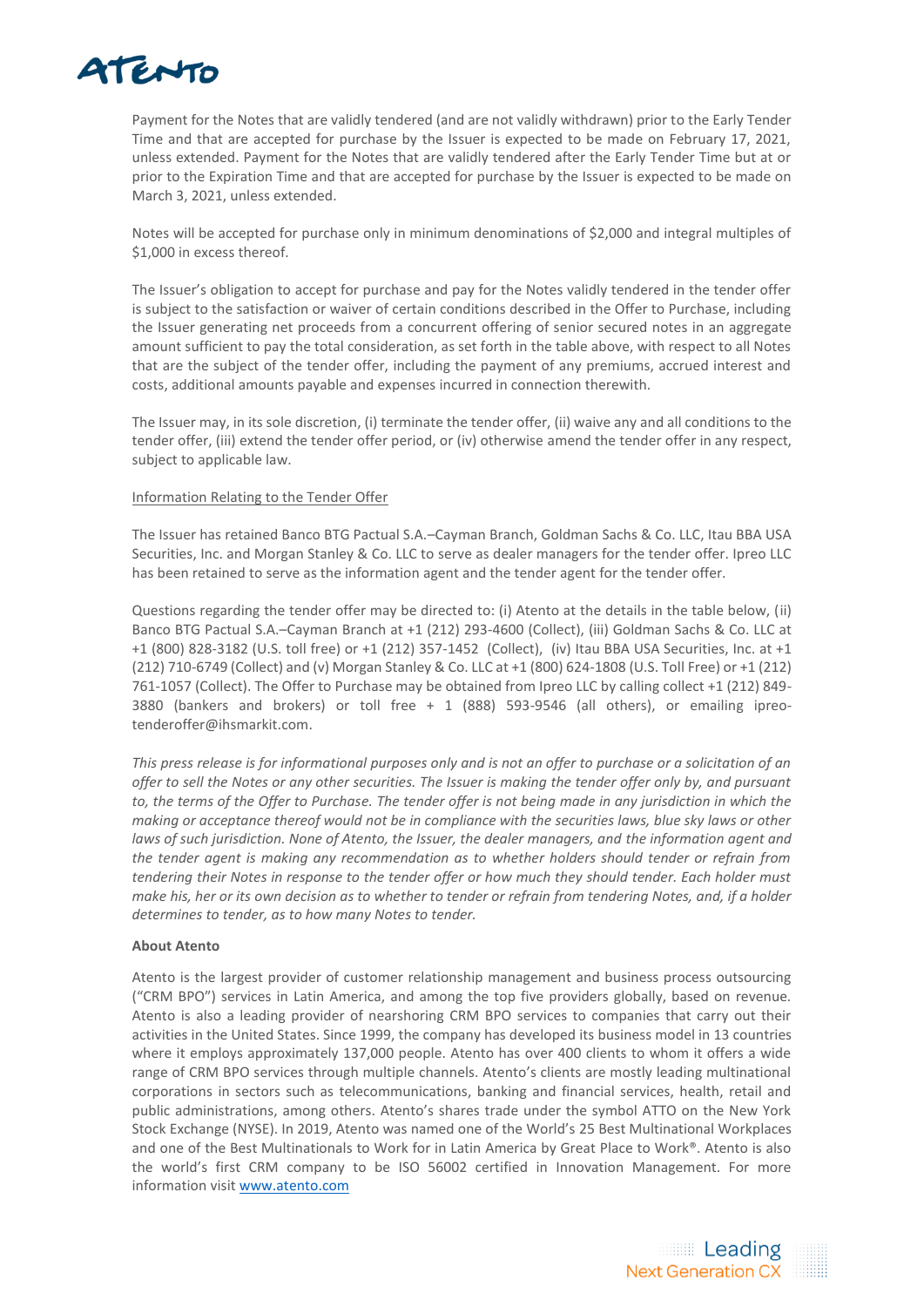## ATENTO

Payment for the Notes that are validly tendered (and are not validly withdrawn) prior to the Early Tender Time and that are accepted for purchase by the Issuer is expected to be made on February 17, 2021, unless extended. Payment for the Notes that are validly tendered after the Early Tender Time but at or prior to the Expiration Time and that are accepted for purchase by the Issuer is expected to be made on March 3, 2021, unless extended.

Notes will be accepted for purchase only in minimum denominations of \$2,000 and integral multiples of \$1,000 in excess thereof.

The Issuer's obligation to accept for purchase and pay for the Notes validly tendered in the tender offer is subject to the satisfaction or waiver of certain conditions described in the Offer to Purchase, including the Issuer generating net proceeds from a concurrent offering of senior secured notes in an aggregate amount sufficient to pay the total consideration, as set forth in the table above, with respect to all Notes that are the subject of the tender offer, including the payment of any premiums, accrued interest and costs, additional amounts payable and expenses incurred in connection therewith.

The Issuer may, in its sole discretion, (i) terminate the tender offer, (ii) waive any and all conditions to the tender offer, (iii) extend the tender offer period, or (iv) otherwise amend the tender offer in any respect, subject to applicable law.

### Information Relating to the Tender Offer

The Issuer has retained Banco BTG Pactual S.A.–Cayman Branch, Goldman Sachs & Co. LLC, Itau BBA USA Securities, Inc. and Morgan Stanley & Co. LLC to serve as dealer managers for the tender offer. Ipreo LLC has been retained to serve as the information agent and the tender agent for the tender offer.

Questions regarding the tender offer may be directed to: (i) Atento at the details in the table below, (ii) Banco BTG Pactual S.A.–Cayman Branch at +1 (212) 293-4600 (Collect), (iii) Goldman Sachs & Co. LLC at +1 (800) 828-3182 (U.S. toll free) or +1 (212) 357-1452 (Collect), (iv) Itau BBA USA Securities, Inc. at +1 (212) 710-6749 (Collect) and (v) Morgan Stanley & Co. LLC at +1 (800) 624-1808 (U.S. Toll Free) or +1 (212) 761-1057 (Collect). The Offer to Purchase may be obtained from Ipreo LLC by calling collect +1 (212) 849- 3880 (bankers and brokers) or toll free + 1 (888) 593-9546 (all others), or emailing [ipreo](mailto:ipreo-tenderoffer@ihsmarkit.com)[tenderoffer@ihsmarkit.com.](mailto:ipreo-tenderoffer@ihsmarkit.com)

*This press release is for informational purposes only and is not an offer to purchase or a solicitation of an offer to sell the Notes or any other securities. The Issuer is making the tender offer only by, and pursuant to, the terms of the Offer to Purchase. The tender offer is not being made in any jurisdiction in which the making or acceptance thereof would not be in compliance with the securities laws, blue sky laws or other laws of such jurisdiction. None of Atento, the Issuer, the dealer managers, and the information agent and the tender agent is making any recommendation as to whether holders should tender or refrain from tendering their Notes in response to the tender offer or how much they should tender. Each holder must make his, her or its own decision as to whether to tender or refrain from tendering Notes, and, if a holder determines to tender, as to how many Notes to tender.* 

### **About Atento**

Atento is the largest provider of customer relationship management and business process outsourcing ("CRM BPO") services in Latin America, and among the top five providers globally, based on revenue. Atento is also a leading provider of nearshoring CRM BPO services to companies that carry out their activities in the United States. Since 1999, the company has developed its business model in 13 countries where it employs approximately 137,000 people. Atento has over 400 clients to whom it offers a wide range of CRM BPO services through multiple channels. Atento's clients are mostly leading multinational corporations in sectors such as telecommunications, banking and financial services, health, retail and public administrations, among others. Atento's shares trade under the symbol ATTO on the New York Stock Exchange (NYSE). In 2019, Atento was named one of the World's 25 Best Multinational Workplaces and one of the Best Multinationals to Work for in Latin America by Great Place to Work®. Atento is also the world's first CRM company to be ISO 56002 certified in Innovation Management. For more information visit [www.atento.com](http://www.atento.com/)